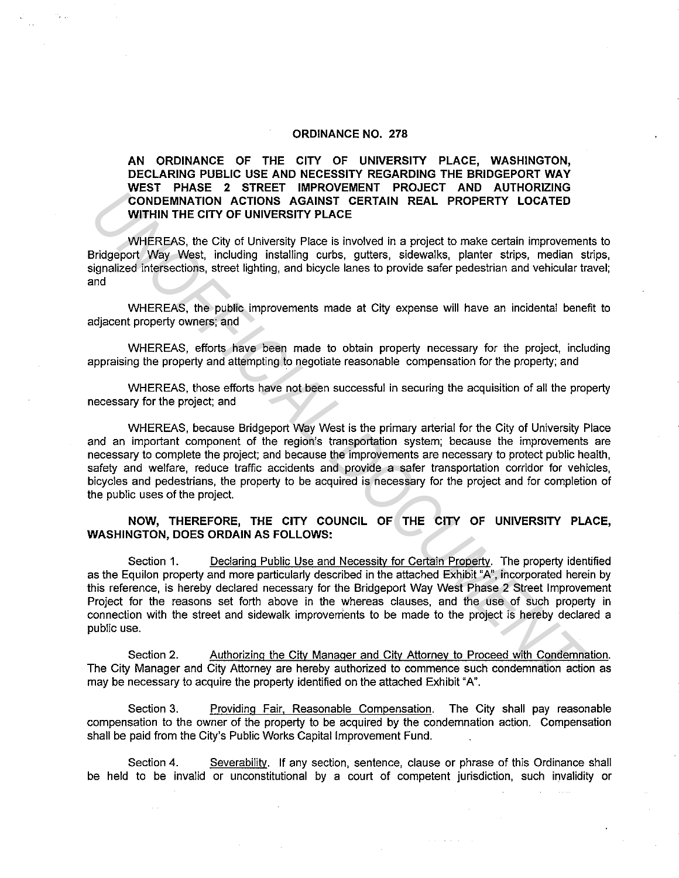#### **ORDINANCE NO. 278**

**AN ORDINANCE OF THE CITY OF UNIVERSITY PLACE, WASHINGTON, DECLARING PUBLIC USE AND NECESSITY REGARDING THE BRIDGEPORT WAY WEST PHASE 2 STREET IMPROVEMENT PROJECT AND AUTHORIZING CONDEMNATION ACTIONS AGAINST CERTAIN REAL PROPERTY LOCATED WITHIN THE CITY OF UNIVERSITY PLACE** 

WHEREAS, the City of University Place is involved in a project to make certain improvements to Bridgeport Way West, including installing curbs, gutters, sidewalks, planter strips, median strips, signalized intersections, street lighting, and bicycle lanes to provide safer pedestrian and vehicular travel; and

WHEREAS, the public improvements made at City expense will have an incidental benefit to adjacent property owners; and

WHEREAS, efforts have been made to obtain property necessary for the project, including appraising the property and attempting to negotiate reasonable compensation for the property; and

WHEREAS, those efforts have not been successful in securing the acquisition of all the property necessary for the project; and

WHEREAS, because Bridgeport Way West is the primary arterial for the City of University Place and an important component of the region's transportation system; because the improvements are necessary to complete the project; and because the improvements are necessary to protect public health, safety and welfare, reduce traffic accidents and provide a safer transportation corridor for vehicles, bicycles and pedestrians, the property to be acquired is necessary for the project and for completion of the public uses of the project.

#### **NOW, THEREFORE, THE CITY COUNCIL OF THE CITY OF UNIVERSITY PLACE, WASHINGTON, DOES ORDAIN AS FOLLOWS:**

Section 1. Declaring Public Use and Necessity for Certain Property. The property identified as the Equilon property and more particularly described in the attached Exhibit "A", incorporated herein by this reference, is hereby declared necessary for the Bridgeport Way West Phase 2 Street Improvement Project for the reasons set forth above in the whereas clauses, and the use of such property in connection with the street and sidewalk improvements to be made to the project is hereby declared a public use. **CONDEMINATION ACTIONS AGAINST CERTAIN REAL PROPERTY LOCATED<br>
WITHIN THE CITY OF UNIVERSITY PLACE<br>
WITHIN THE CITY OF UNIVERSITY PLACE<br>
WITHIN THE CITY OF UNIVERSITY PLACE<br>
JUMENTON ACTIONS AGAINST CERTAIN REAL PROPERTY LO** 

Section 2. Authorizing the City Manager and City Attorney to Proceed with Condemnation. The City Manager and City Attorney are hereby authorized to commence such condemnation action as may be necessary to acquire the property identified on the attached Exhibit "A".

Section 3. Providing Fair, Reasonable Compensation. The City shall pay reasonable compensation to the owner of the property to be acquired by the condemnation action. Compensation shall be paid from the City's Public Works Capital Improvement Fund.

Section 4. Severability. If any section, sentence, clause or phrase of this Ordinance shall be held to be invalid or unconstitutional by a court of competent jurisdiction, such invalidity or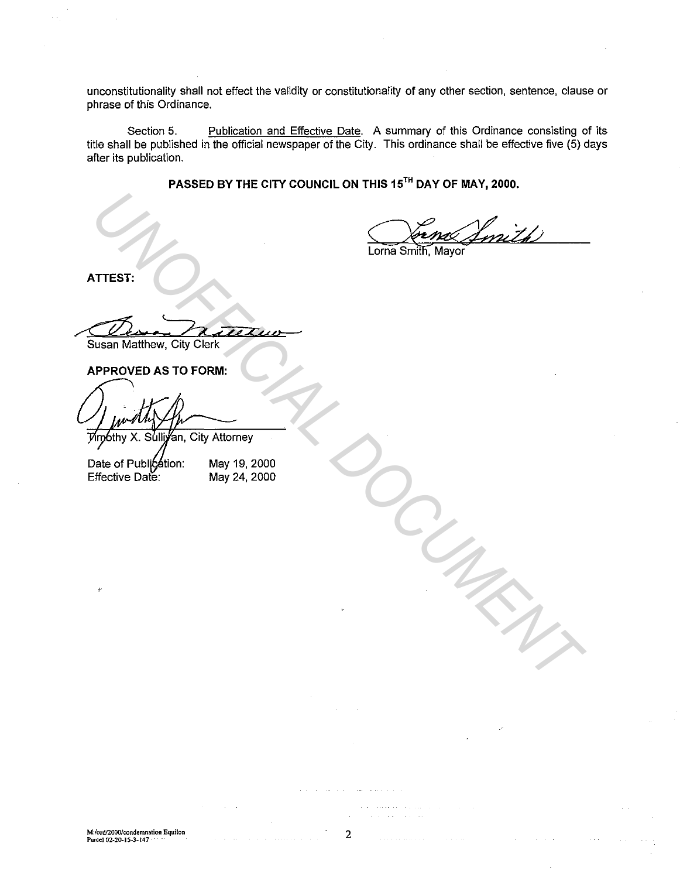unconstitutionality shall not effect the validity or constitutionality of any other section, sentence, clause or phrase of this Ordinance.

Section 5. Publication and Effective Date. A summary of this Ordinance consisting of its title shall be published in the official newspaper of the City. This ordinance shall be effective five (5) days after its publication.

**PASSED BY THE CITY COUNCIL ON THIS 15TH DAY OF MAY, 2000.** 

VITEST:<br>
VITEST:<br>
USSAIN Matthew, City Clerk<br> **UPPROVED AS TO FORM:**<br>
The of Published Control May 14, 2000<br>
Mate of Published Control May 24, 2000<br>
Mate Of Published Date:<br>
May 24, 2000

**ATTEST:** 

< *ee Otte----*

Susan Matthew, City Clerk

May 19, 2000 May 24, 2000

**M:/ord/2000/condemnation Equilon Parcel 02-20.IS.3-147** 

2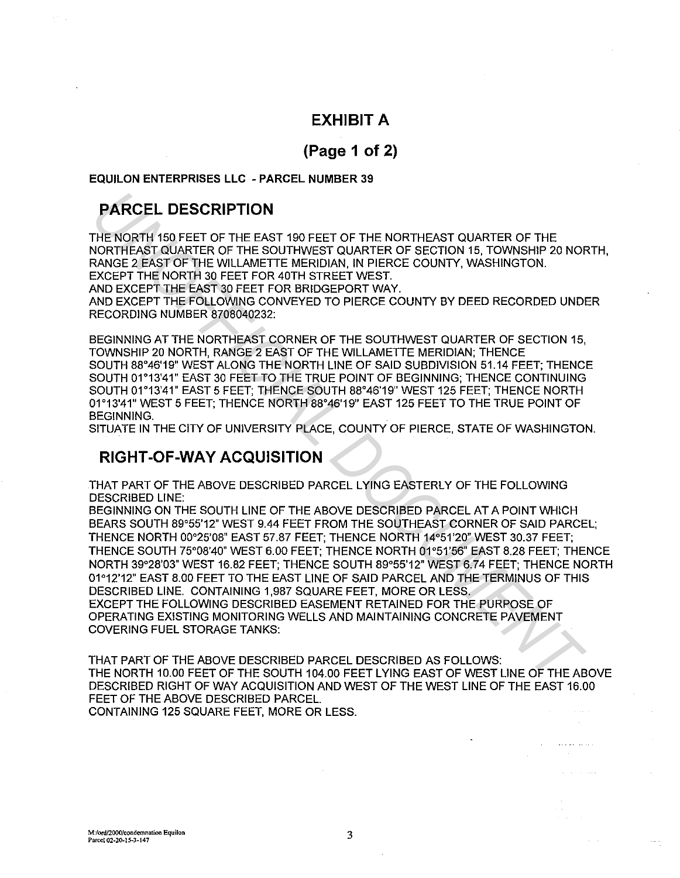## **EXHIBIT A**

# **(Page 1of2)**

### **EQUILON ENTERPRISES LLC - PARCEL NUMBER 39**

# **PARCEL DESCRIPTION**

THE NORTH 150 FEET OF THE EAST 190 FEET OF THE NORTHEAST QUARTER OF THE NORTHEAST QUARTER OF THE SOUTHWEST QUARTER OF SECTION 15, TOWNSHIP 20 NORTH, RANGE 2 EAST OF THE WILLAMETTE MERIDIAN, IN PIERCE COUNTY, WASHINGTON. EXCEPT THE NORTH 30 FEET FOR 40TH STREET WEST. AND EXCEPT THE EAST 30 FEET FOR BRIDGEPORT WAY.

AND EXCEPT THE FOLLOWING CONVEYED TO PIERCE COUNTY BY DEED RECORDED UNDER RECORDING NUMBER 8708040232:

BEGINNING AT THE NORTHEAST CORNER OF THE SOUTHWEST QUARTER OF SECTION 15, TOWNSHIP 20 NORTH, RANGE 2 EAST OF THE WILLAMETTE MERIDIAN; THENCE SOUTH 88°46'19" WEST ALONG THE NORTH LINE OF SAID SUBDIVISION 51.14 FEET; THENCE SOUTH 01°13'41" EAST 30 FEET TO THE TRUE POINT OF BEGINNING; THENCE CONTINUING SOUTH 01°13'41" EAST 5 FEET; THENCE SOUTH 88°46'19" WEST 125 FEET; THENCE NORTH 01°13'41" WEST 5 FEET; THENCE NORTH 88°46'19" EAST 125 FEET TO THE TRUE POINT OF BEGINNING.

SITUATE IN THE CITY OF UNIVERSITY PLACE, COUNTY OF PIERCE, STATE OF WASHINGTON.

### **RIGHT-OF-WAY ACQUISITION**

THAT PART OF THE ABOVE DESCRIBED PARCELL YING EASTERLY OF THE FOLLOWING DESCRIBED LINE:

BEGINNING ON THE SOUTH LINE OF THE ABOVE DESCRIBED PARCEL AT A POINT WHICH BEARS SOUTH 89°55'12" WEST 9.44 FEET FROM THE SOUTHEAST CORNER OF SAID PARCEL; THENCE NORTH 00°25'08" EAST 57.87 FEET; THENCE NORTH 14°51'20" WEST 30.37 FEET; THENCE SOUTH 75°08'40" WEST 6.00 FEET; THENCE NORTH 01°51'56" EAST 8.28 FEET; THENCE NORTH 39°28'03" WEST 16.82 FEET; THENCE SOUTH 89°55'12" WEST 6.74 FEET; THENCE NORTH 01°12'12" EAST 8.00 FEET TO THE EAST LINE OF SAID PARCEL AND THE TERMINUS OF THIS DESCRIBED LINE. CONTAINING 1,987 SQUARE FEET, MORE OR LESS. EXCEPT THE FOLLOWING DESCRIBED EASEMENT RETAINED FOR THE PURPOSE OF OPERATING EXISTING MONITORING WELLS AND MAINTAINING CONCRETE PAVEMENT COVERING FUEL STORAGE TANKS: **PARCEL DESCRIPTION**<br>THE NORTH 150 FEET OF THE EAST 190 FEET OF THE NORTHEAST QUARTER OF THE ANNIBATION (NORTHEAST QUARTER OF THE SOLUMENT PROTECT FOR A SUBSTANTING CONDITY, WASHINGTON.<br>
RANGE 2 EAST OF THE WILLAMETTE MERI

THAT PART OF THE ABOVE DESCRIBED PARCEL DESCRIBED AS FOLLOWS: THE NORTH 10.00 FEET OF THE SOUTH 104.00 FEET LYING EAST OF WEST LINE OF THE ABOVE DESCRIBED RIGHT OF WAY ACQUISITION AND WEST OF THE WEST LINE OF THE EAST 16.00 FEET OF THE ABOVE DESCRIBED PARCEL.

CONTAINING 125 SQUARE FEET, MORE OR LESS.

**Service State**